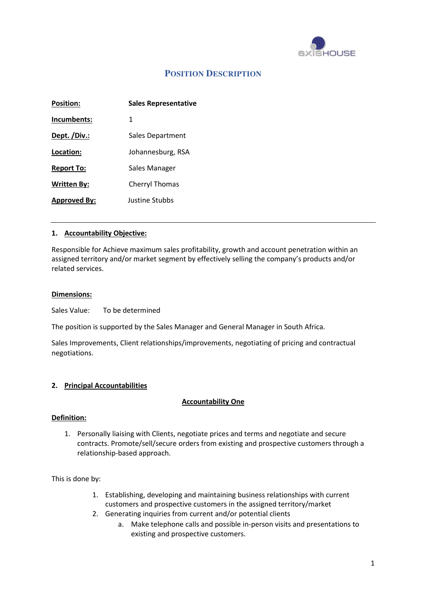

# **POSITION DESCRIPTION**

| <b>Position:</b>    | <b>Sales Representative</b> |
|---------------------|-----------------------------|
| Incumbents:         | 1                           |
| Dept. /Div.:        | Sales Department            |
| Location:           | Johannesburg, RSA           |
| <b>Report To:</b>   | Sales Manager               |
| <b>Written By:</b>  | <b>Cherryl Thomas</b>       |
| <b>Approved By:</b> | Justine Stubbs              |

#### 1. Accountability Objective:

Responsible for Achieve maximum sales profitability, growth and account penetration within an assigned territory and/or market segment by effectively selling the company's products and/or related services.

#### Dimensions:

Sales Value: To be determined

The position is supported by the Sales Manager and General Manager in South Africa.

Sales Improvements, Client relationships/improvements, negotiating of pricing and contractual negotiations.

## 2. Principal Accountabilities

#### Accountability One

#### Definition:

1. Personally liaising with Clients, negotiate prices and terms and negotiate and secure contracts. Promote/sell/secure orders from existing and prospective customers through a relationship-based approach.

This is done by:

- 1. Establishing, developing and maintaining business relationships with current customers and prospective customers in the assigned territory/market
- 2. Generating inquiries from current and/or potential clients
	- a. Make telephone calls and possible in-person visits and presentations to existing and prospective customers.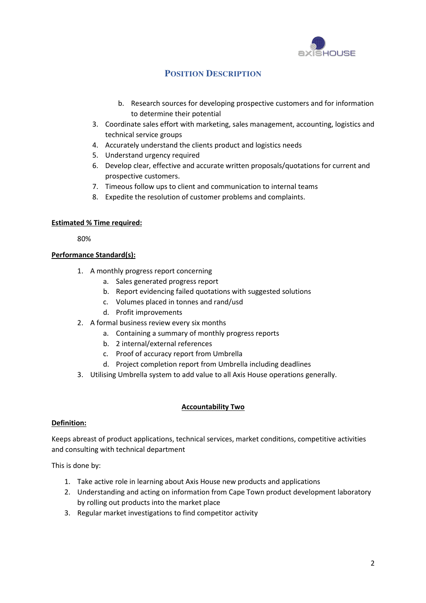

# **POSITION DESCRIPTION**

- b. Research sources for developing prospective customers and for information to determine their potential
- 3. Coordinate sales effort with marketing, sales management, accounting, logistics and technical service groups
- 4. Accurately understand the clients product and logistics needs
- 5. Understand urgency required
- 6. Develop clear, effective and accurate written proposals/quotations for current and prospective customers.
- 7. Timeous follow ups to client and communication to internal teams
- 8. Expedite the resolution of customer problems and complaints.

# Estimated % Time required:

80%

# Performance Standard(s):

- 1. A monthly progress report concerning
	- a. Sales generated progress report
	- b. Report evidencing failed quotations with suggested solutions
	- c. Volumes placed in tonnes and rand/usd
	- d. Profit improvements
- 2. A formal business review every six months
	- a. Containing a summary of monthly progress reports
	- b. 2 internal/external references
	- c. Proof of accuracy report from Umbrella
	- d. Project completion report from Umbrella including deadlines
- 3. Utilising Umbrella system to add value to all Axis House operations generally.

# Accountability Two

# Definition:

Keeps abreast of product applications, technical services, market conditions, competitive activities and consulting with technical department

This is done by:

- 1. Take active role in learning about Axis House new products and applications
- 2. Understanding and acting on information from Cape Town product development laboratory by rolling out products into the market place
- 3. Regular market investigations to find competitor activity